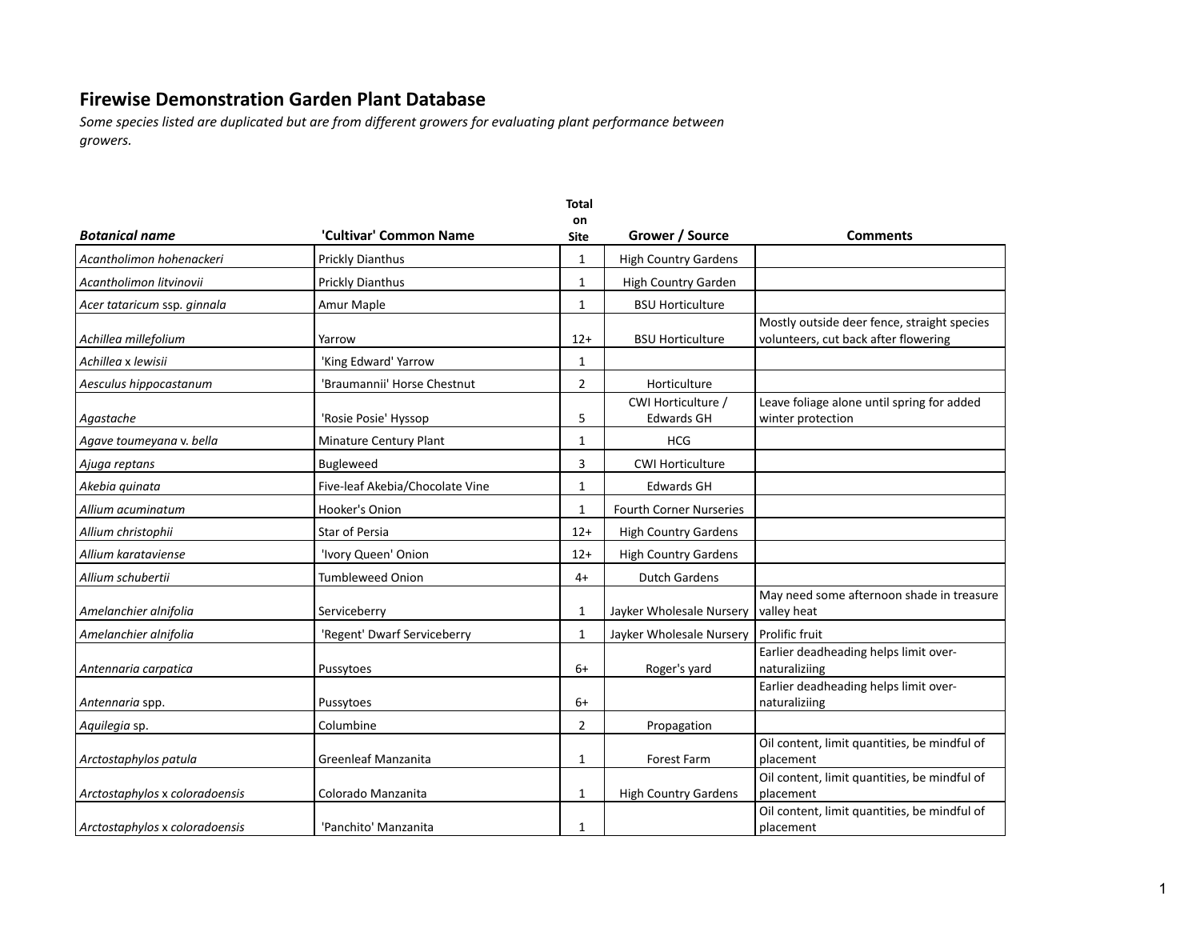|                                |                                 | <b>Total</b>   |                                         |                                                                                     |
|--------------------------------|---------------------------------|----------------|-----------------------------------------|-------------------------------------------------------------------------------------|
| <b>Botanical name</b>          | 'Cultivar' Common Name          | on<br>Site     | Grower / Source                         | <b>Comments</b>                                                                     |
| Acantholimon hohenackeri       | <b>Prickly Dianthus</b>         | 1              | <b>High Country Gardens</b>             |                                                                                     |
| Acantholimon litvinovii        | <b>Prickly Dianthus</b>         | $\mathbf{1}$   | <b>High Country Garden</b>              |                                                                                     |
| Acer tataricum ssp. ginnala    | Amur Maple                      | 1              | <b>BSU Horticulture</b>                 |                                                                                     |
| Achillea millefolium           | Yarrow                          | $12+$          | <b>BSU Horticulture</b>                 | Mostly outside deer fence, straight species<br>volunteers, cut back after flowering |
| Achillea x lewisii             | 'King Edward' Yarrow            | $\mathbf{1}$   |                                         |                                                                                     |
| Aesculus hippocastanum         | 'Braumannii' Horse Chestnut     | 2              | Horticulture                            |                                                                                     |
| Agastache                      | 'Rosie Posie' Hyssop            | 5              | CWI Horticulture /<br><b>Edwards GH</b> | Leave foliage alone until spring for added<br>winter protection                     |
| Agave toumeyana v. bella       | Minature Century Plant          | 1              | <b>HCG</b>                              |                                                                                     |
| Ajuga reptans                  | <b>Bugleweed</b>                | 3              | <b>CWI Horticulture</b>                 |                                                                                     |
| Akebia quinata                 | Five-leaf Akebia/Chocolate Vine | $\mathbf{1}$   | <b>Edwards GH</b>                       |                                                                                     |
| Allium acuminatum              | Hooker's Onion                  | 1              | <b>Fourth Corner Nurseries</b>          |                                                                                     |
| Allium christophii             | <b>Star of Persia</b>           | $12+$          | <b>High Country Gardens</b>             |                                                                                     |
| Allium karataviense            | 'Ivory Queen' Onion             | $12+$          | <b>High Country Gardens</b>             |                                                                                     |
| Allium schubertii              | <b>Tumbleweed Onion</b>         | $4+$           | <b>Dutch Gardens</b>                    |                                                                                     |
| Amelanchier alnifolia          | Serviceberry                    | 1              | Jayker Wholesale Nursery                | May need some afternoon shade in treasure<br>valley heat                            |
| Amelanchier alnifolia          | 'Regent' Dwarf Serviceberry     | 1              | Jayker Wholesale Nursery                | <b>Prolific fruit</b>                                                               |
| Antennaria carpatica           | Pussytoes                       | $6+$           | Roger's yard                            | Earlier deadheading helps limit over-<br>naturaliziing                              |
| Antennaria spp.                | Pussytoes                       | $6+$           |                                         | Earlier deadheading helps limit over-<br>naturaliziing                              |
| Aquilegia sp.                  | Columbine                       | $\overline{2}$ | Propagation                             |                                                                                     |
| Arctostaphylos patula          | <b>Greenleaf Manzanita</b>      | 1              | <b>Forest Farm</b>                      | Oil content, limit quantities, be mindful of<br>placement                           |
| Arctostaphylos x coloradoensis | Colorado Manzanita              | 1              | <b>High Country Gardens</b>             | Oil content, limit quantities, be mindful of<br>placement                           |
| Arctostaphylos x coloradoensis | 'Panchito' Manzanita            | 1              |                                         | Oil content, limit quantities, be mindful of<br>placement                           |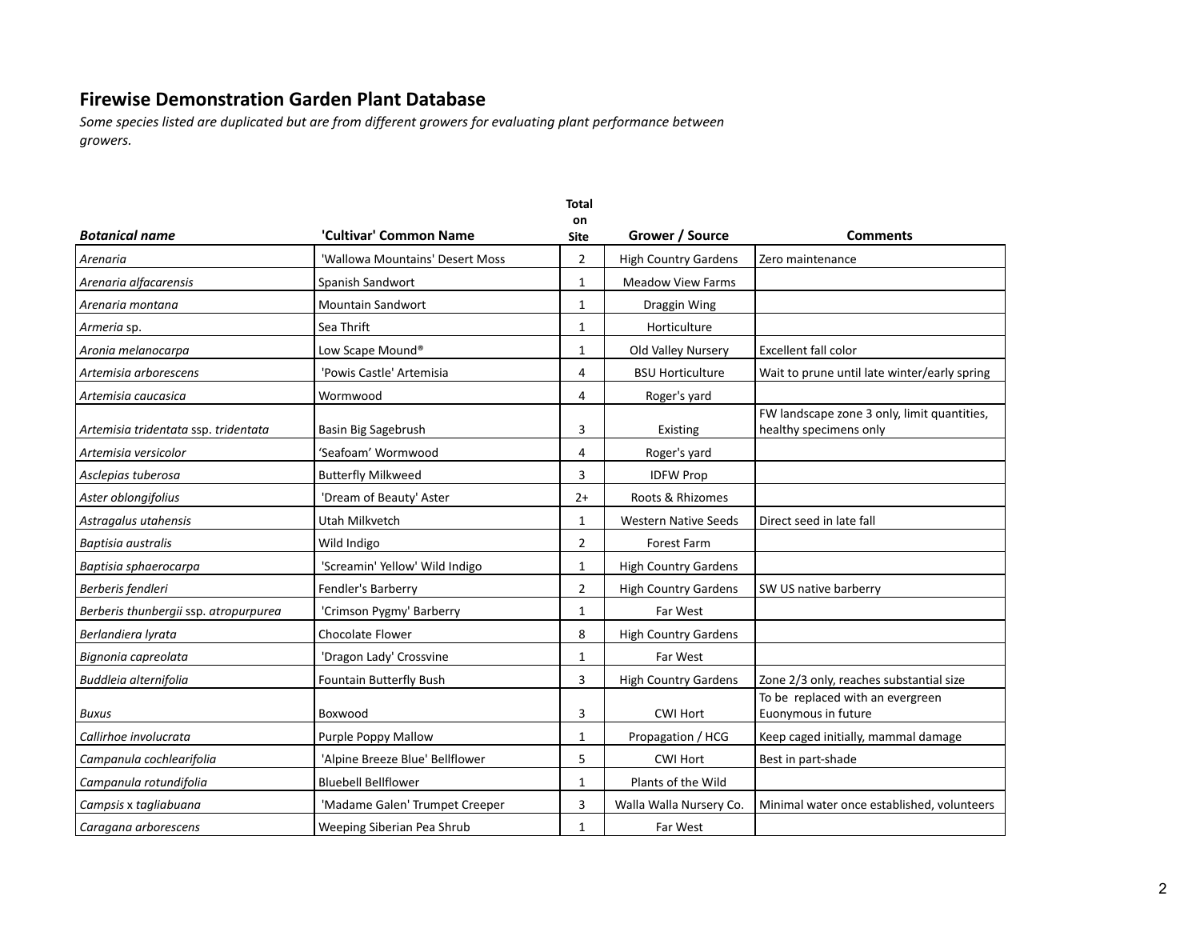|                                       |                                 | <b>Total</b>   |                             |                                                                       |
|---------------------------------------|---------------------------------|----------------|-----------------------------|-----------------------------------------------------------------------|
| <b>Botanical name</b>                 | 'Cultivar' Common Name          | on<br>Site     | Grower / Source             | <b>Comments</b>                                                       |
| Arenaria                              | 'Wallowa Mountains' Desert Moss | 2              | <b>High Country Gardens</b> | Zero maintenance                                                      |
| Arenaria alfacarensis                 | Spanish Sandwort                | $\mathbf{1}$   | <b>Meadow View Farms</b>    |                                                                       |
| Arenaria montana                      | Mountain Sandwort               | 1              | Draggin Wing                |                                                                       |
| Armeria sp.                           | Sea Thrift                      | $\mathbf{1}$   | Horticulture                |                                                                       |
| Aronia melanocarpa                    | Low Scape Mound <sup>®</sup>    | $\mathbf{1}$   | Old Valley Nursery          | Excellent fall color                                                  |
| Artemisia arborescens                 | 'Powis Castle' Artemisia        | 4              | <b>BSU Horticulture</b>     | Wait to prune until late winter/early spring                          |
| Artemisia caucasica                   | Wormwood                        | 4              | Roger's yard                |                                                                       |
| Artemisia tridentata ssp. tridentata  | Basin Big Sagebrush             | 3              | Existing                    | FW landscape zone 3 only, limit quantities,<br>healthy specimens only |
| Artemisia versicolor                  | 'Seafoam' Wormwood              | 4              | Roger's yard                |                                                                       |
| Asclepias tuberosa                    | <b>Butterfly Milkweed</b>       | 3              | <b>IDFW Prop</b>            |                                                                       |
| Aster oblongifolius                   | 'Dream of Beauty' Aster         | $2+$           | Roots & Rhizomes            |                                                                       |
| Astragalus utahensis                  | Utah Milkvetch                  | $\mathbf{1}$   | <b>Western Native Seeds</b> | Direct seed in late fall                                              |
| Baptisia australis                    | Wild Indigo                     | $\overline{2}$ | Forest Farm                 |                                                                       |
| Baptisia sphaerocarpa                 | 'Screamin' Yellow' Wild Indigo  | $\mathbf{1}$   | <b>High Country Gardens</b> |                                                                       |
| Berberis fendleri                     | Fendler's Barberry              | $\overline{2}$ | <b>High Country Gardens</b> | SW US native barberry                                                 |
| Berberis thunbergii ssp. atropurpurea | 'Crimson Pygmy' Barberry        | $\mathbf{1}$   | Far West                    |                                                                       |
| Berlandiera lyrata                    | Chocolate Flower                | 8              | <b>High Country Gardens</b> |                                                                       |
| Bignonia capreolata                   | 'Dragon Lady' Crossvine         | $\mathbf{1}$   | Far West                    |                                                                       |
| Buddleia alternifolia                 | Fountain Butterfly Bush         | 3              | <b>High Country Gardens</b> | Zone 2/3 only, reaches substantial size                               |
| Buxus                                 | Boxwood                         | 3              | <b>CWI Hort</b>             | To be replaced with an evergreen<br>Euonymous in future               |
| Callirhoe involucrata                 | Purple Poppy Mallow             | $\mathbf{1}$   | Propagation / HCG           | Keep caged initially, mammal damage                                   |
| Campanula cochlearifolia              | 'Alpine Breeze Blue' Bellflower | 5              | <b>CWI Hort</b>             | Best in part-shade                                                    |
| Campanula rotundifolia                | <b>Bluebell Bellflower</b>      | $\mathbf{1}$   | Plants of the Wild          |                                                                       |
| Campsis x tagliabuana                 | 'Madame Galen' Trumpet Creeper  | 3              | Walla Walla Nursery Co.     | Minimal water once established, volunteers                            |
| Caragana arborescens                  | Weeping Siberian Pea Shrub      | $\mathbf{1}$   | Far West                    |                                                                       |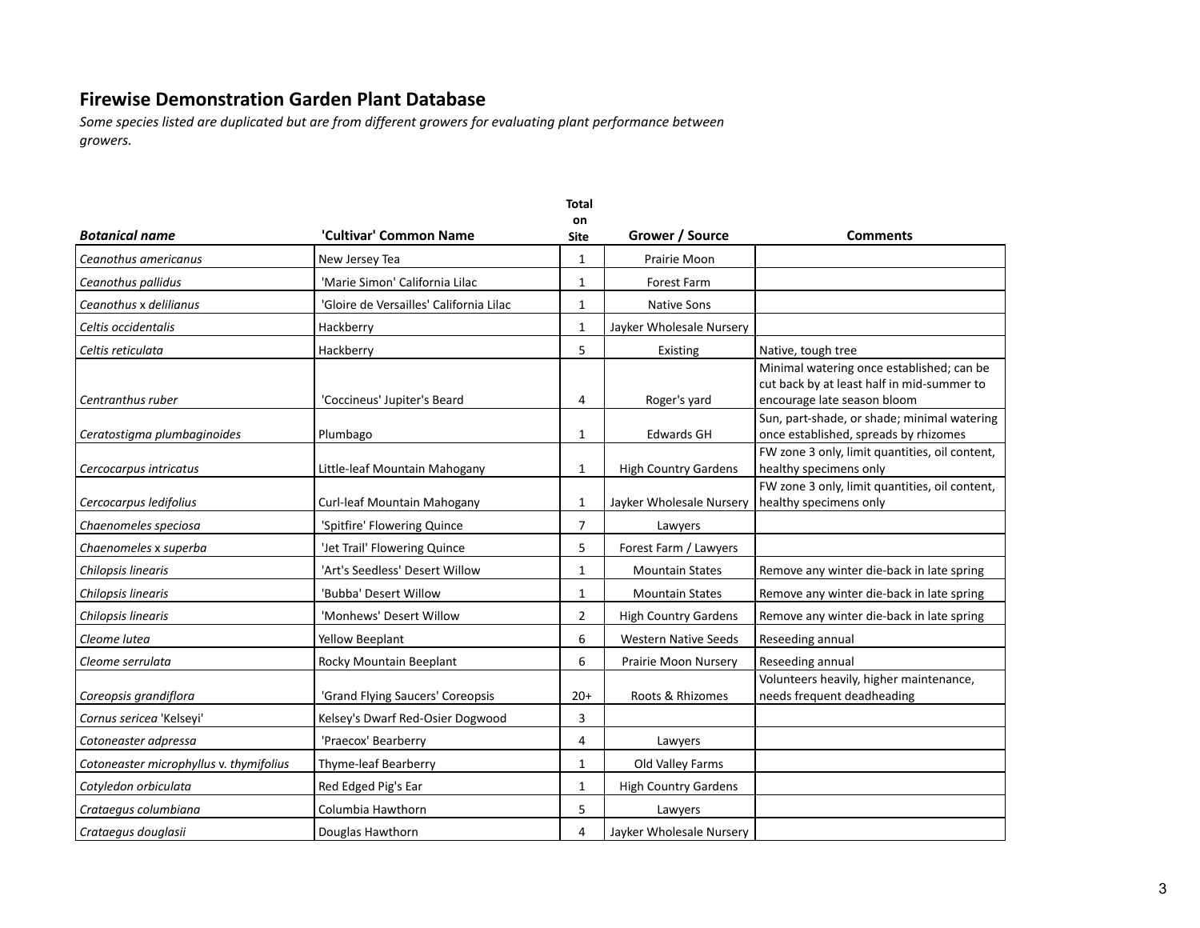|                                         |                                         | <b>Total</b>   |                             |                                                                                                                        |
|-----------------------------------------|-----------------------------------------|----------------|-----------------------------|------------------------------------------------------------------------------------------------------------------------|
| <b>Botanical name</b>                   | 'Cultivar' Common Name                  | on<br>Site     | Grower / Source             | <b>Comments</b>                                                                                                        |
| Ceanothus americanus                    | New Jersey Tea                          | $\mathbf{1}$   | Prairie Moon                |                                                                                                                        |
| Ceanothus pallidus                      | 'Marie Simon' California Lilac          | $\mathbf{1}$   | Forest Farm                 |                                                                                                                        |
| Ceanothus x delilianus                  | 'Gloire de Versailles' California Lilac | $\mathbf{1}$   | <b>Native Sons</b>          |                                                                                                                        |
| Celtis occidentalis                     | Hackberry                               | $\mathbf{1}$   | Jayker Wholesale Nursery    |                                                                                                                        |
| Celtis reticulata                       | Hackberry                               | 5              | Existing                    | Native, tough tree                                                                                                     |
| Centranthus ruber                       | 'Coccineus' Jupiter's Beard             | 4              | Roger's yard                | Minimal watering once established; can be<br>cut back by at least half in mid-summer to<br>encourage late season bloom |
| Ceratostigma plumbaginoides             | Plumbago                                | $\mathbf{1}$   | <b>Edwards GH</b>           | Sun, part-shade, or shade; minimal watering<br>once established, spreads by rhizomes                                   |
| Cercocarpus intricatus                  | Little-leaf Mountain Mahogany           | 1              | <b>High Country Gardens</b> | FW zone 3 only, limit quantities, oil content,<br>healthy specimens only                                               |
| Cercocarpus ledifolius                  | Curl-leaf Mountain Mahogany             | $\mathbf{1}$   | Jayker Wholesale Nursery    | FW zone 3 only, limit quantities, oil content,<br>healthy specimens only                                               |
| Chaenomeles speciosa                    | 'Spitfire' Flowering Quince             | $\overline{7}$ | Lawyers                     |                                                                                                                        |
| Chaenomeles x superba                   | 'Jet Trail' Flowering Quince            | 5              | Forest Farm / Lawyers       |                                                                                                                        |
| Chilopsis linearis                      | 'Art's Seedless' Desert Willow          | 1              | <b>Mountain States</b>      | Remove any winter die-back in late spring                                                                              |
| Chilopsis linearis                      | 'Bubba' Desert Willow                   | $\mathbf{1}$   | <b>Mountain States</b>      | Remove any winter die-back in late spring                                                                              |
| Chilopsis linearis                      | 'Monhews' Desert Willow                 | $\overline{2}$ | <b>High Country Gardens</b> | Remove any winter die-back in late spring                                                                              |
| Cleome lutea                            | Yellow Beeplant                         | 6              | <b>Western Native Seeds</b> | Reseeding annual                                                                                                       |
| Cleome serrulata                        | Rocky Mountain Beeplant                 | 6              | Prairie Moon Nursery        | Reseeding annual                                                                                                       |
| Coreopsis grandiflora                   | 'Grand Flying Saucers' Coreopsis        | $20+$          | Roots & Rhizomes            | Volunteers heavily, higher maintenance,<br>needs frequent deadheading                                                  |
| Cornus sericea 'Kelseyi'                | Kelsey's Dwarf Red-Osier Dogwood        | 3              |                             |                                                                                                                        |
| Cotoneaster adpressa                    | 'Praecox' Bearberry                     | 4              | Lawyers                     |                                                                                                                        |
| Cotoneaster microphyllus v. thymifolius | <b>Thyme-leaf Bearberry</b>             | $\mathbf{1}$   | Old Valley Farms            |                                                                                                                        |
| Cotyledon orbiculata                    | Red Edged Pig's Ear                     | $\mathbf{1}$   | <b>High Country Gardens</b> |                                                                                                                        |
| Crataegus columbiana                    | Columbia Hawthorn                       | 5              | Lawyers                     |                                                                                                                        |
| Crataegus douglasii                     | Douglas Hawthorn                        | 4              | Jayker Wholesale Nursery    |                                                                                                                        |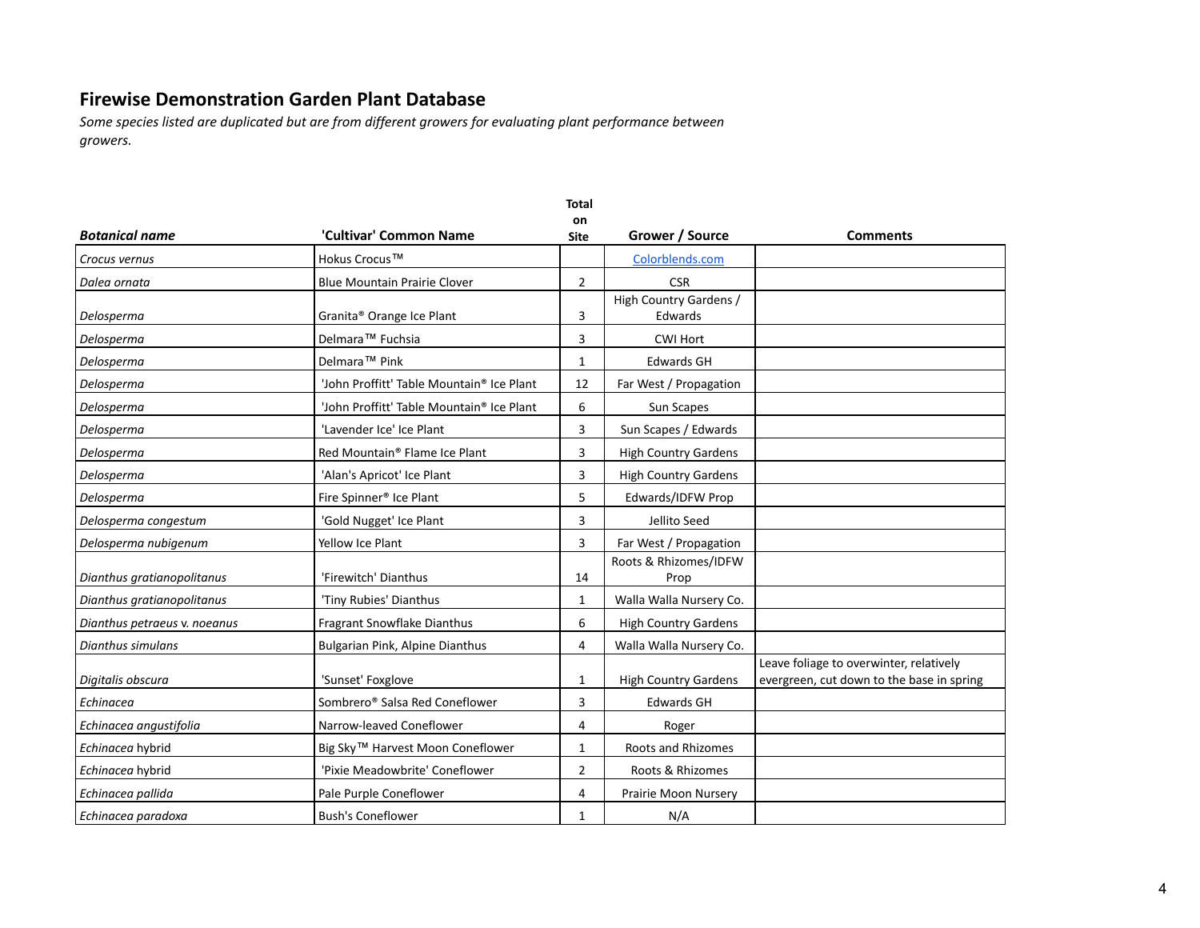*Some species listed are duplicated but are from different growers for evaluating plant performance between growers.*

| <b>Botanical name</b>        | 'Cultivar' Common Name                                | on<br><b>Site</b> | Grower / Source                      | <b>Comments</b>                                                                      |
|------------------------------|-------------------------------------------------------|-------------------|--------------------------------------|--------------------------------------------------------------------------------------|
|                              |                                                       |                   |                                      |                                                                                      |
| Crocus vernus                | Hokus Crocus™                                         |                   | Colorblends.com                      |                                                                                      |
| Dalea ornata                 | <b>Blue Mountain Prairie Clover</b>                   | 2                 | <b>CSR</b><br>High Country Gardens / |                                                                                      |
| Delosperma                   | Granita® Orange Ice Plant                             | 3                 | Edwards                              |                                                                                      |
| Delosperma                   | Delmara <sup>™</sup> Fuchsia                          | 3                 | <b>CWI Hort</b>                      |                                                                                      |
| Delosperma                   | Delmara <sup>™</sup> Pink                             | 1                 | <b>Edwards GH</b>                    |                                                                                      |
| Delosperma                   | 'John Proffitt' Table Mountain <sup>®</sup> Ice Plant | 12                | Far West / Propagation               |                                                                                      |
| Delosperma                   | 'John Proffitt' Table Mountain® Ice Plant             | 6                 | Sun Scapes                           |                                                                                      |
| Delosperma                   | 'Lavender Ice' Ice Plant                              | 3                 | Sun Scapes / Edwards                 |                                                                                      |
| Delosperma                   | Red Mountain <sup>®</sup> Flame Ice Plant             | 3                 | <b>High Country Gardens</b>          |                                                                                      |
| Delosperma                   | 'Alan's Apricot' Ice Plant                            | 3                 | <b>High Country Gardens</b>          |                                                                                      |
| Delosperma                   | Fire Spinner <sup>®</sup> Ice Plant                   | 5                 | Edwards/IDFW Prop                    |                                                                                      |
| Delosperma congestum         | 'Gold Nugget' Ice Plant                               | 3                 | Jellito Seed                         |                                                                                      |
| Delosperma nubigenum         | Yellow Ice Plant                                      | 3                 | Far West / Propagation               |                                                                                      |
| Dianthus gratianopolitanus   | 'Firewitch' Dianthus                                  | 14                | Roots & Rhizomes/IDFW<br>Prop        |                                                                                      |
| Dianthus gratianopolitanus   | 'Tiny Rubies' Dianthus                                | 1                 | Walla Walla Nursery Co.              |                                                                                      |
| Dianthus petraeus v. noeanus | Fragrant Snowflake Dianthus                           | 6                 | <b>High Country Gardens</b>          |                                                                                      |
| Dianthus simulans            | Bulgarian Pink, Alpine Dianthus                       | 4                 | Walla Walla Nursery Co.              |                                                                                      |
| Digitalis obscura            | 'Sunset' Foxglove                                     | 1                 | <b>High Country Gardens</b>          | Leave foliage to overwinter, relatively<br>evergreen, cut down to the base in spring |
| Echinacea                    | Sombrero® Salsa Red Coneflower                        | 3                 | <b>Edwards GH</b>                    |                                                                                      |
| Echinacea angustifolia       | Narrow-leaved Coneflower                              | 4                 | Roger                                |                                                                                      |
| Echinacea hybrid             | Big Sky™ Harvest Moon Coneflower                      | 1                 | <b>Roots and Rhizomes</b>            |                                                                                      |
| Echinacea hybrid             | 'Pixie Meadowbrite' Coneflower                        | $\overline{2}$    | Roots & Rhizomes                     |                                                                                      |
| Echinacea pallida            | Pale Purple Coneflower                                | 4                 | Prairie Moon Nursery                 |                                                                                      |
| Echinacea paradoxa           | <b>Bush's Coneflower</b>                              | $\mathbf{1}$      | N/A                                  |                                                                                      |

**Total**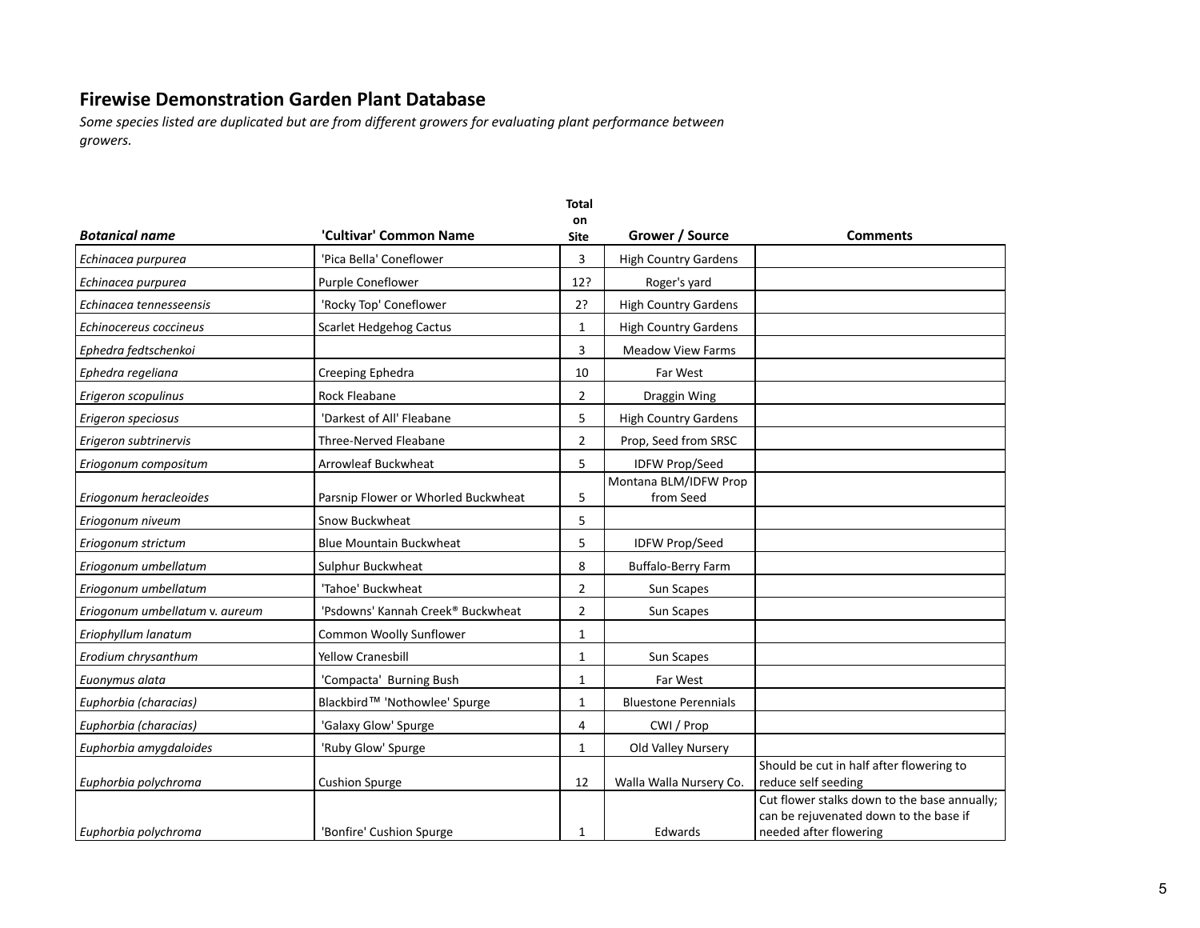|                                |                                     | <b>Total</b>   |                                    |                                                                                                                  |
|--------------------------------|-------------------------------------|----------------|------------------------------------|------------------------------------------------------------------------------------------------------------------|
| <b>Botanical name</b>          | 'Cultivar' Common Name              | on<br>Site     | Grower / Source                    | <b>Comments</b>                                                                                                  |
| Echinacea purpurea             | 'Pica Bella' Coneflower             | 3              | <b>High Country Gardens</b>        |                                                                                                                  |
| Echinacea purpurea             | Purple Coneflower                   | 12?            | Roger's yard                       |                                                                                                                  |
| Echinacea tennesseensis        | 'Rocky Top' Coneflower              | 2?             | <b>High Country Gardens</b>        |                                                                                                                  |
| Echinocereus coccineus         | Scarlet Hedgehog Cactus             | $\mathbf{1}$   | <b>High Country Gardens</b>        |                                                                                                                  |
| Ephedra fedtschenkoi           |                                     | 3              | <b>Meadow View Farms</b>           |                                                                                                                  |
| Ephedra regeliana              | Creeping Ephedra                    | 10             | Far West                           |                                                                                                                  |
| Erigeron scopulinus            | Rock Fleabane                       | $\overline{2}$ | Draggin Wing                       |                                                                                                                  |
| Erigeron speciosus             | 'Darkest of All' Fleabane           | 5              | <b>High Country Gardens</b>        |                                                                                                                  |
| Erigeron subtrinervis          | Three-Nerved Fleabane               | 2              | Prop, Seed from SRSC               |                                                                                                                  |
| Eriogonum compositum           | <b>Arrowleaf Buckwheat</b>          | 5              | <b>IDFW Prop/Seed</b>              |                                                                                                                  |
| Eriogonum heracleoides         | Parsnip Flower or Whorled Buckwheat | 5              | Montana BLM/IDFW Prop<br>from Seed |                                                                                                                  |
| Eriogonum niveum               | Snow Buckwheat                      | 5              |                                    |                                                                                                                  |
| Eriogonum strictum             | <b>Blue Mountain Buckwheat</b>      | 5              | <b>IDFW Prop/Seed</b>              |                                                                                                                  |
| Eriogonum umbellatum           | Sulphur Buckwheat                   | 8              | <b>Buffalo-Berry Farm</b>          |                                                                                                                  |
| Eriogonum umbellatum           | 'Tahoe' Buckwheat                   | $\overline{2}$ | Sun Scapes                         |                                                                                                                  |
| Eriogonum umbellatum v. aureum | 'Psdowns' Kannah Creek® Buckwheat   | $\overline{2}$ | Sun Scapes                         |                                                                                                                  |
| Eriophyllum lanatum            | Common Woolly Sunflower             | $\mathbf{1}$   |                                    |                                                                                                                  |
| Erodium chrysanthum            | <b>Yellow Cranesbill</b>            | 1              | Sun Scapes                         |                                                                                                                  |
| Euonymus alata                 | 'Compacta' Burning Bush             | 1              | Far West                           |                                                                                                                  |
| Euphorbia (characias)          | Blackbird™ 'Nothowlee' Spurge       | $\mathbf{1}$   | <b>Bluestone Perennials</b>        |                                                                                                                  |
| Euphorbia (characias)          | 'Galaxy Glow' Spurge                | 4              | CWI / Prop                         |                                                                                                                  |
| Euphorbia amygdaloides         | 'Ruby Glow' Spurge                  | 1              | Old Valley Nursery                 |                                                                                                                  |
| Euphorbia polychroma           | <b>Cushion Spurge</b>               | 12             | Walla Walla Nursery Co.            | Should be cut in half after flowering to<br>reduce self seeding                                                  |
| Euphorbia polychroma           | 'Bonfire' Cushion Spurge            | 1              | Edwards                            | Cut flower stalks down to the base annually;<br>can be rejuvenated down to the base if<br>needed after flowering |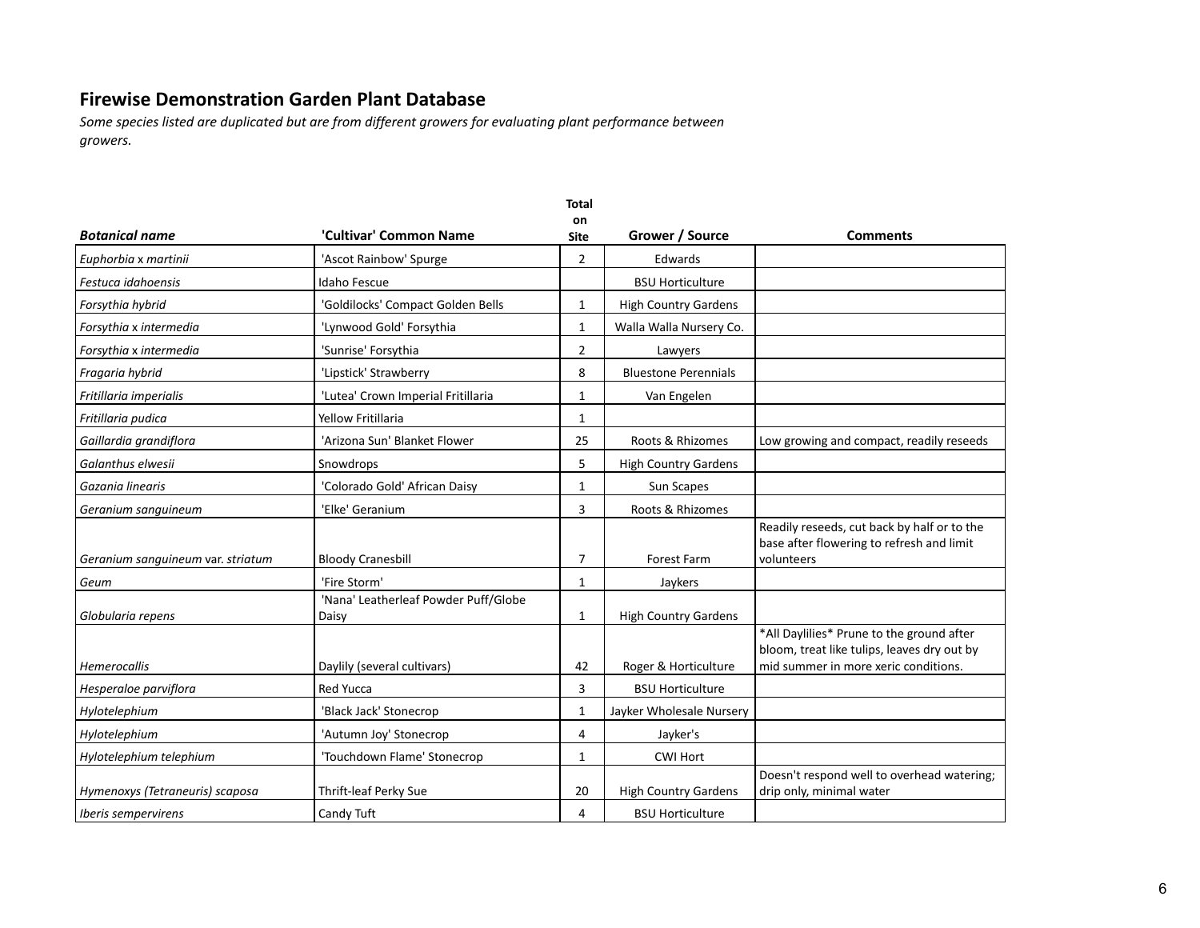|                                   |                                               | <b>Total</b><br>on |                             |                                                                                                                                  |
|-----------------------------------|-----------------------------------------------|--------------------|-----------------------------|----------------------------------------------------------------------------------------------------------------------------------|
| <b>Botanical name</b>             | 'Cultivar' Common Name                        | <b>Site</b>        | Grower / Source             | <b>Comments</b>                                                                                                                  |
| Euphorbia x martinii              | 'Ascot Rainbow' Spurge                        | $\overline{2}$     | Edwards                     |                                                                                                                                  |
| Festuca idahoensis                | Idaho Fescue                                  |                    | <b>BSU Horticulture</b>     |                                                                                                                                  |
| Forsythia hybrid                  | 'Goldilocks' Compact Golden Bells             | $\mathbf{1}$       | <b>High Country Gardens</b> |                                                                                                                                  |
| Forsythia x intermedia            | 'Lynwood Gold' Forsythia                      | $\mathbf{1}$       | Walla Walla Nursery Co.     |                                                                                                                                  |
| Forsythia x intermedia            | 'Sunrise' Forsythia                           | $\overline{2}$     | Lawyers                     |                                                                                                                                  |
| Fragaria hybrid                   | 'Lipstick' Strawberry                         | 8                  | <b>Bluestone Perennials</b> |                                                                                                                                  |
| Fritillaria imperialis            | 'Lutea' Crown Imperial Fritillaria            | $\mathbf{1}$       | Van Engelen                 |                                                                                                                                  |
| Fritillaria pudica                | <b>Yellow Fritillaria</b>                     | 1                  |                             |                                                                                                                                  |
| Gaillardia grandiflora            | 'Arizona Sun' Blanket Flower                  | 25                 | Roots & Rhizomes            | Low growing and compact, readily reseeds                                                                                         |
| Galanthus elwesii                 | Snowdrops                                     | 5                  | <b>High Country Gardens</b> |                                                                                                                                  |
| Gazania linearis                  | 'Colorado Gold' African Daisy                 | $\mathbf{1}$       | Sun Scapes                  |                                                                                                                                  |
| Geranium sanguineum               | 'Elke' Geranium                               | 3                  | Roots & Rhizomes            |                                                                                                                                  |
| Geranium sanguineum var. striatum | <b>Bloody Cranesbill</b>                      | 7                  | <b>Forest Farm</b>          | Readily reseeds, cut back by half or to the<br>base after flowering to refresh and limit<br>volunteers                           |
| Geum                              | 'Fire Storm'                                  | $\mathbf{1}$       | Jaykers                     |                                                                                                                                  |
| Globularia repens                 | 'Nana' Leatherleaf Powder Puff/Globe<br>Daisy | 1                  | <b>High Country Gardens</b> |                                                                                                                                  |
| <b>Hemerocallis</b>               | Daylily (several cultivars)                   | 42                 | Roger & Horticulture        | *All Daylilies* Prune to the ground after<br>bloom, treat like tulips, leaves dry out by<br>mid summer in more xeric conditions. |
| Hesperaloe parviflora             | Red Yucca                                     | 3                  | <b>BSU Horticulture</b>     |                                                                                                                                  |
| Hylotelephium                     | 'Black Jack' Stonecrop                        | 1                  | Jayker Wholesale Nursery    |                                                                                                                                  |
| Hylotelephium                     | 'Autumn Joy' Stonecrop                        | 4                  | Jayker's                    |                                                                                                                                  |
| Hylotelephium telephium           | 'Touchdown Flame' Stonecrop                   | 1                  | <b>CWI Hort</b>             |                                                                                                                                  |
| Hymenoxys (Tetraneuris) scaposa   | Thrift-leaf Perky Sue                         | 20                 | <b>High Country Gardens</b> | Doesn't respond well to overhead watering;<br>drip only, minimal water                                                           |
| <i><b>Iberis sempervirens</b></i> | Candy Tuft                                    | 4                  | <b>BSU Horticulture</b>     |                                                                                                                                  |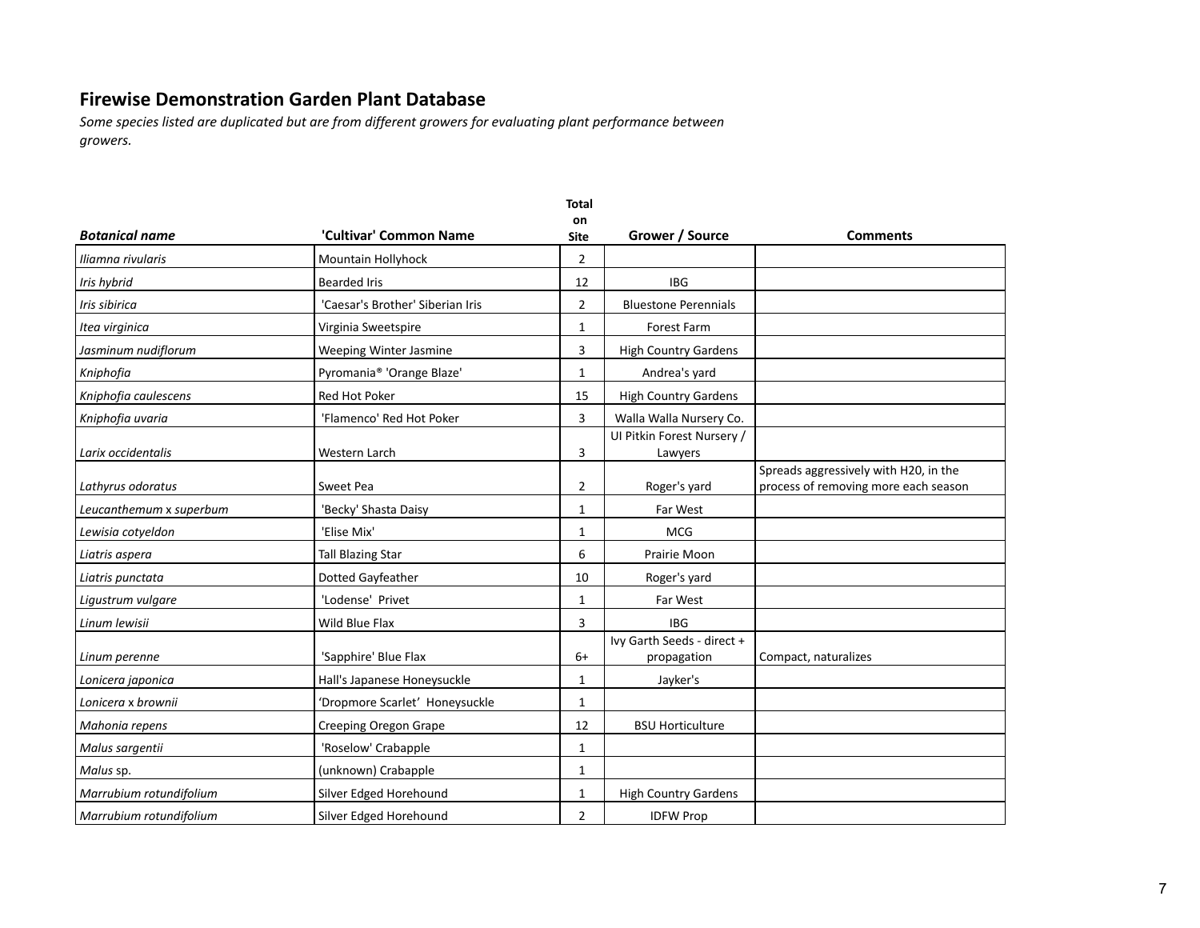|                         |                                       | <b>Total</b>      |                                           |                                                                               |
|-------------------------|---------------------------------------|-------------------|-------------------------------------------|-------------------------------------------------------------------------------|
| <b>Botanical name</b>   | 'Cultivar' Common Name                | on<br><b>Site</b> | Grower / Source                           | <b>Comments</b>                                                               |
| Iliamna rivularis       | Mountain Hollyhock                    | $\overline{2}$    |                                           |                                                                               |
| Iris hybrid             | <b>Bearded Iris</b>                   | 12                | <b>IBG</b>                                |                                                                               |
| Iris sibirica           | 'Caesar's Brother' Siberian Iris      | 2                 | <b>Bluestone Perennials</b>               |                                                                               |
| Itea virginica          | Virginia Sweetspire                   | 1                 | <b>Forest Farm</b>                        |                                                                               |
| Jasminum nudiflorum     | Weeping Winter Jasmine                | 3                 | <b>High Country Gardens</b>               |                                                                               |
| Kniphofia               | Pyromania <sup>®</sup> 'Orange Blaze' | 1                 | Andrea's yard                             |                                                                               |
| Kniphofia caulescens    | Red Hot Poker                         | 15                | <b>High Country Gardens</b>               |                                                                               |
| Kniphofia uvaria        | 'Flamenco' Red Hot Poker              | 3                 | Walla Walla Nursery Co.                   |                                                                               |
| Larix occidentalis      | Western Larch                         | 3                 | UI Pitkin Forest Nursery /<br>Lawyers     |                                                                               |
| Lathyrus odoratus       | Sweet Pea                             | 2                 | Roger's yard                              | Spreads aggressively with H20, in the<br>process of removing more each season |
| Leucanthemum x superbum | 'Becky' Shasta Daisy                  | 1                 | Far West                                  |                                                                               |
| Lewisia cotyeldon       | 'Elise Mix'                           | 1                 | <b>MCG</b>                                |                                                                               |
| Liatris aspera          | <b>Tall Blazing Star</b>              | 6                 | Prairie Moon                              |                                                                               |
| Liatris punctata        | Dotted Gayfeather                     | 10                | Roger's yard                              |                                                                               |
| Ligustrum vulgare       | 'Lodense' Privet                      | 1                 | Far West                                  |                                                                               |
| Linum lewisii           | Wild Blue Flax                        | 3                 | <b>IBG</b>                                |                                                                               |
| Linum perenne           | 'Sapphire' Blue Flax                  | $6+$              | Ivy Garth Seeds - direct +<br>propagation | Compact, naturalizes                                                          |
| Lonicera japonica       | Hall's Japanese Honeysuckle           | 1                 | Jayker's                                  |                                                                               |
| Lonicera x brownii      | 'Dropmore Scarlet' Honeysuckle        | 1                 |                                           |                                                                               |
| Mahonia repens          | Creeping Oregon Grape                 | 12                | <b>BSU Horticulture</b>                   |                                                                               |
| Malus sargentii         | 'Roselow' Crabapple                   | 1                 |                                           |                                                                               |
| Malus sp.               | (unknown) Crabapple                   | 1                 |                                           |                                                                               |
| Marrubium rotundifolium | Silver Edged Horehound                | 1                 | <b>High Country Gardens</b>               |                                                                               |
| Marrubium rotundifolium | Silver Edged Horehound                | 2                 | <b>IDFW Prop</b>                          |                                                                               |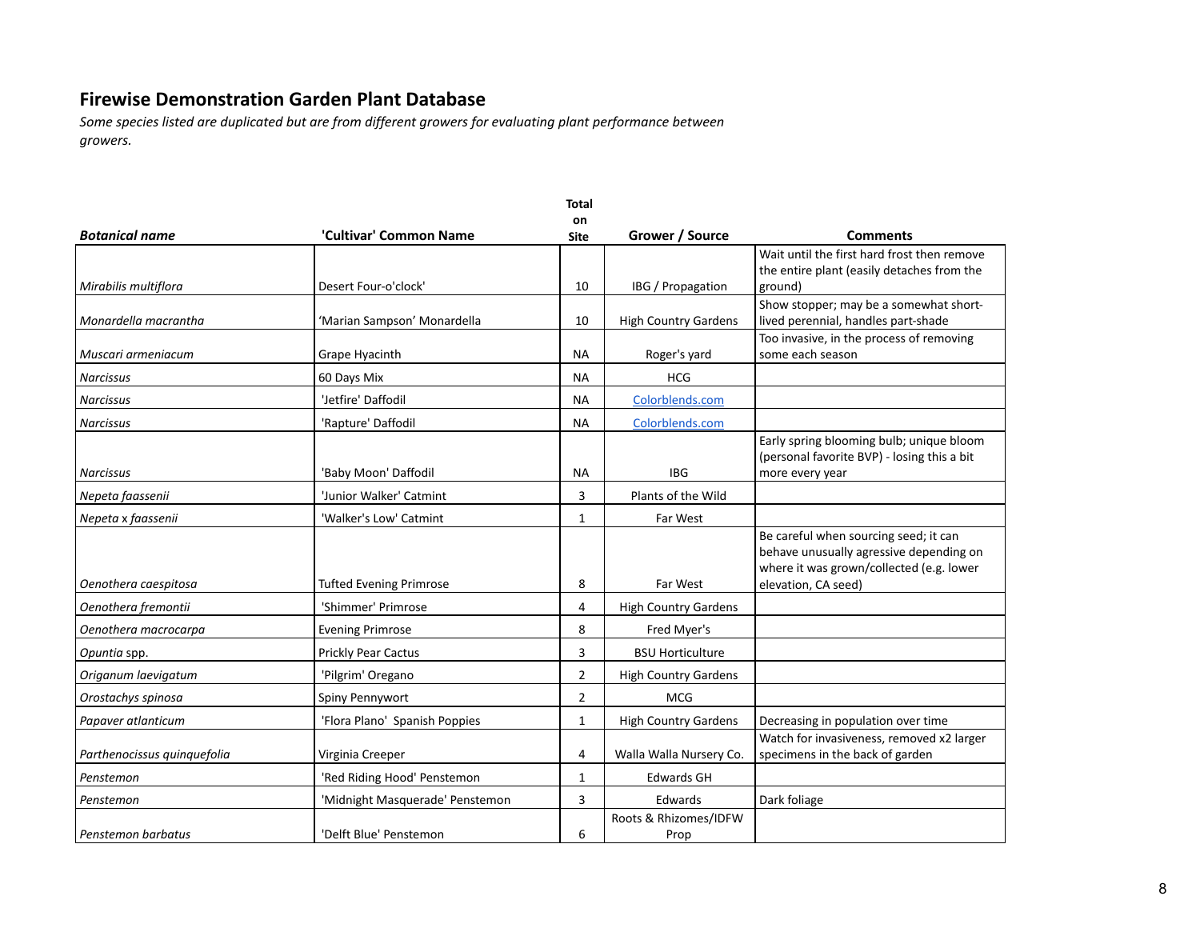|                             |                                 | <b>Total</b>      |                               |                                                                                                                                                     |
|-----------------------------|---------------------------------|-------------------|-------------------------------|-----------------------------------------------------------------------------------------------------------------------------------------------------|
| <b>Botanical name</b>       | 'Cultivar' Common Name          | on<br><b>Site</b> | Grower / Source               | Comments                                                                                                                                            |
| Mirabilis multiflora        | Desert Four-o'clock'            | 10                | IBG / Propagation             | Wait until the first hard frost then remove<br>the entire plant (easily detaches from the<br>ground)                                                |
| Monardella macrantha        | 'Marian Sampson' Monardella     | 10                | <b>High Country Gardens</b>   | Show stopper; may be a somewhat short-<br>lived perennial, handles part-shade                                                                       |
| Muscari armeniacum          | Grape Hyacinth                  | <b>NA</b>         | Roger's yard                  | Too invasive, in the process of removing<br>some each season                                                                                        |
| <b>Narcissus</b>            | 60 Days Mix                     | <b>NA</b>         | <b>HCG</b>                    |                                                                                                                                                     |
| <b>Narcissus</b>            | 'Jetfire' Daffodil              | NА                | Colorblends.com               |                                                                                                                                                     |
| <b>Narcissus</b>            | 'Rapture' Daffodil              | NА                | Colorblends.com               |                                                                                                                                                     |
| <b>Narcissus</b>            | 'Baby Moon' Daffodil            | <b>NA</b>         | <b>IBG</b>                    | Early spring blooming bulb; unique bloom<br>(personal favorite BVP) - losing this a bit<br>more every year                                          |
| Nepeta faassenii            | 'Junior Walker' Catmint         | 3                 | Plants of the Wild            |                                                                                                                                                     |
| Nepeta x faassenii          | 'Walker's Low' Catmint          | 1                 | Far West                      |                                                                                                                                                     |
| Oenothera caespitosa        | <b>Tufted Evening Primrose</b>  | 8                 | Far West                      | Be careful when sourcing seed; it can<br>behave unusually agressive depending on<br>where it was grown/collected (e.g. lower<br>elevation, CA seed) |
| Oenothera fremontii         | 'Shimmer' Primrose              | 4                 | <b>High Country Gardens</b>   |                                                                                                                                                     |
| Oenothera macrocarpa        | <b>Evening Primrose</b>         | 8                 | Fred Myer's                   |                                                                                                                                                     |
| Opuntia spp.                | Prickly Pear Cactus             | 3                 | <b>BSU Horticulture</b>       |                                                                                                                                                     |
| Origanum laevigatum         | 'Pilgrim' Oregano               | 2                 | <b>High Country Gardens</b>   |                                                                                                                                                     |
| Orostachys spinosa          | Spiny Pennywort                 | $\overline{2}$    | <b>MCG</b>                    |                                                                                                                                                     |
| Papaver atlanticum          | 'Flora Plano' Spanish Poppies   | $\mathbf{1}$      | <b>High Country Gardens</b>   | Decreasing in population over time                                                                                                                  |
| Parthenocissus quinquefolia | Virginia Creeper                | 4                 | Walla Walla Nursery Co.       | Watch for invasiveness, removed x2 larger<br>specimens in the back of garden                                                                        |
| Penstemon                   | 'Red Riding Hood' Penstemon     | 1                 | <b>Edwards GH</b>             |                                                                                                                                                     |
| Penstemon                   | 'Midnight Masquerade' Penstemon | 3                 | <b>Edwards</b>                | Dark foliage                                                                                                                                        |
| Penstemon barbatus          | 'Delft Blue' Penstemon          | 6                 | Roots & Rhizomes/IDFW<br>Prop |                                                                                                                                                     |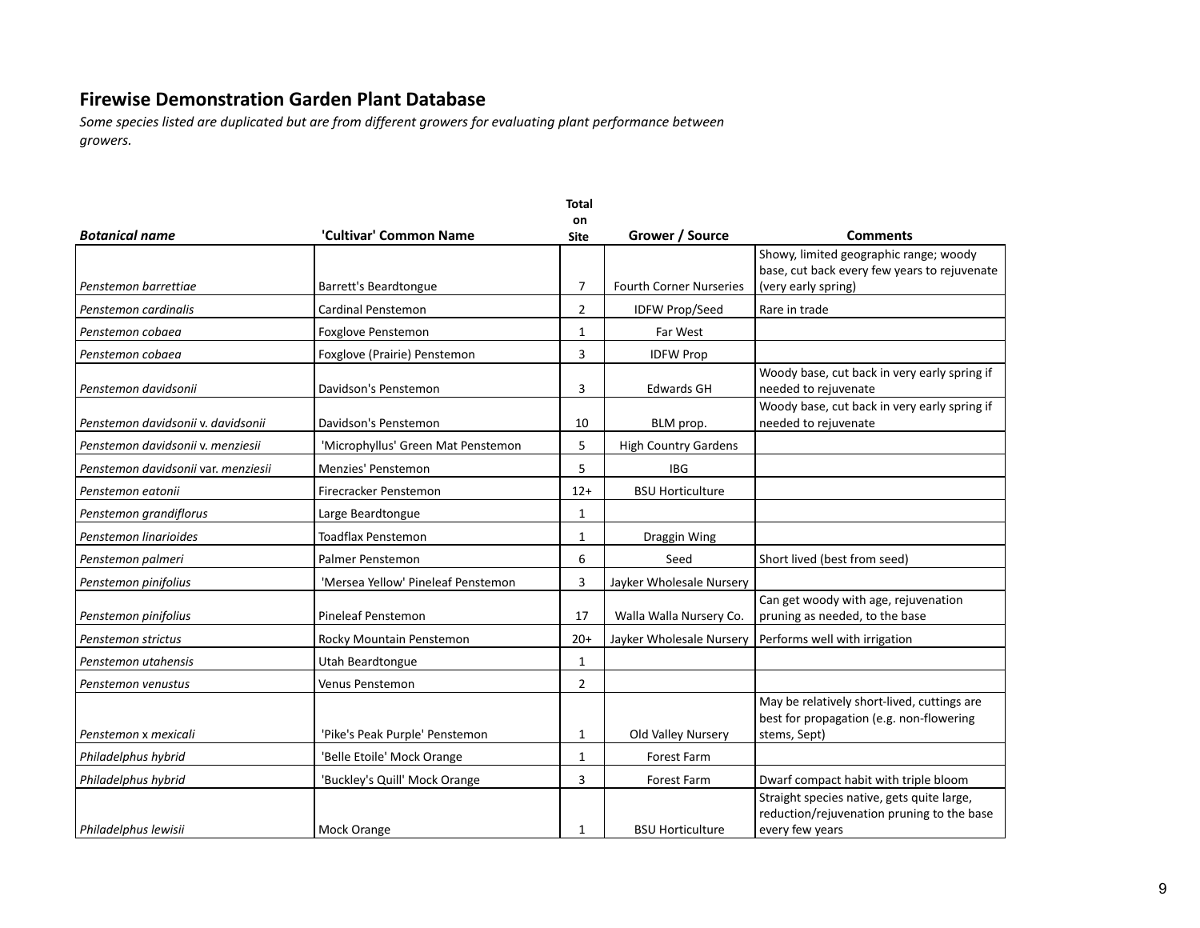|                                     |                                    | <b>Total</b>      |                                |                                                                                                               |  |
|-------------------------------------|------------------------------------|-------------------|--------------------------------|---------------------------------------------------------------------------------------------------------------|--|
| <b>Botanical name</b>               | 'Cultivar' Common Name             | on<br><b>Site</b> | Grower / Source                | <b>Comments</b>                                                                                               |  |
| Penstemon barrettiae                | Barrett's Beardtongue              | $\overline{7}$    | <b>Fourth Corner Nurseries</b> | Showy, limited geographic range; woody<br>base, cut back every few years to rejuvenate<br>(very early spring) |  |
|                                     |                                    |                   |                                |                                                                                                               |  |
| Penstemon cardinalis                | Cardinal Penstemon                 | $\overline{2}$    | <b>IDFW Prop/Seed</b>          | Rare in trade                                                                                                 |  |
| Penstemon cobaea                    | <b>Foxglove Penstemon</b>          | $\mathbf{1}$      | Far West                       |                                                                                                               |  |
| Penstemon cobaea                    | Foxglove (Prairie) Penstemon       | 3                 | <b>IDFW Prop</b>               |                                                                                                               |  |
| Penstemon davidsonii                | Davidson's Penstemon               | 3                 | <b>Edwards GH</b>              | Woody base, cut back in very early spring if<br>needed to rejuvenate                                          |  |
| Penstemon davidsonii v. davidsonii  | Davidson's Penstemon               | 10                | BLM prop.                      | Woody base, cut back in very early spring if<br>needed to rejuvenate                                          |  |
| Penstemon davidsonii v. menziesii   | 'Microphyllus' Green Mat Penstemon | 5                 | <b>High Country Gardens</b>    |                                                                                                               |  |
| Penstemon davidsonii var. menziesii | Menzies' Penstemon                 | 5                 | <b>IBG</b>                     |                                                                                                               |  |
| Penstemon eatonii                   | Firecracker Penstemon              | $12+$             | <b>BSU Horticulture</b>        |                                                                                                               |  |
| Penstemon grandiflorus              | Large Beardtongue                  | $\mathbf{1}$      |                                |                                                                                                               |  |
| Penstemon linarioides               | <b>Toadflax Penstemon</b>          | 1                 | Draggin Wing                   |                                                                                                               |  |
| Penstemon palmeri                   | Palmer Penstemon                   | 6                 | Seed                           | Short lived (best from seed)                                                                                  |  |
| Penstemon pinifolius                | 'Mersea Yellow' Pineleaf Penstemon | 3                 | Jayker Wholesale Nursery       |                                                                                                               |  |
| Penstemon pinifolius                | Pineleaf Penstemon                 | 17                | Walla Walla Nursery Co.        | Can get woody with age, rejuvenation<br>pruning as needed, to the base                                        |  |
| Penstemon strictus                  | Rocky Mountain Penstemon           | $20+$             | Jayker Wholesale Nursery       | Performs well with irrigation                                                                                 |  |
| Penstemon utahensis                 | Utah Beardtongue                   | $\mathbf{1}$      |                                |                                                                                                               |  |
| Penstemon venustus                  | <b>Venus Penstemon</b>             | $\overline{2}$    |                                |                                                                                                               |  |
| Penstemon x mexicali                | 'Pike's Peak Purple' Penstemon     | $\mathbf{1}$      | Old Valley Nursery             | May be relatively short-lived, cuttings are<br>best for propagation (e.g. non-flowering<br>stems, Sept)       |  |
| Philadelphus hybrid                 | 'Belle Etoile' Mock Orange         | $\mathbf{1}$      | <b>Forest Farm</b>             |                                                                                                               |  |
| Philadelphus hybrid                 | 'Buckley's Quill' Mock Orange      | 3                 | Forest Farm                    | Dwarf compact habit with triple bloom                                                                         |  |
| Philadelphus lewisii                | Mock Orange                        | 1                 | <b>BSU Horticulture</b>        | Straight species native, gets quite large,<br>reduction/rejuvenation pruning to the base<br>every few years   |  |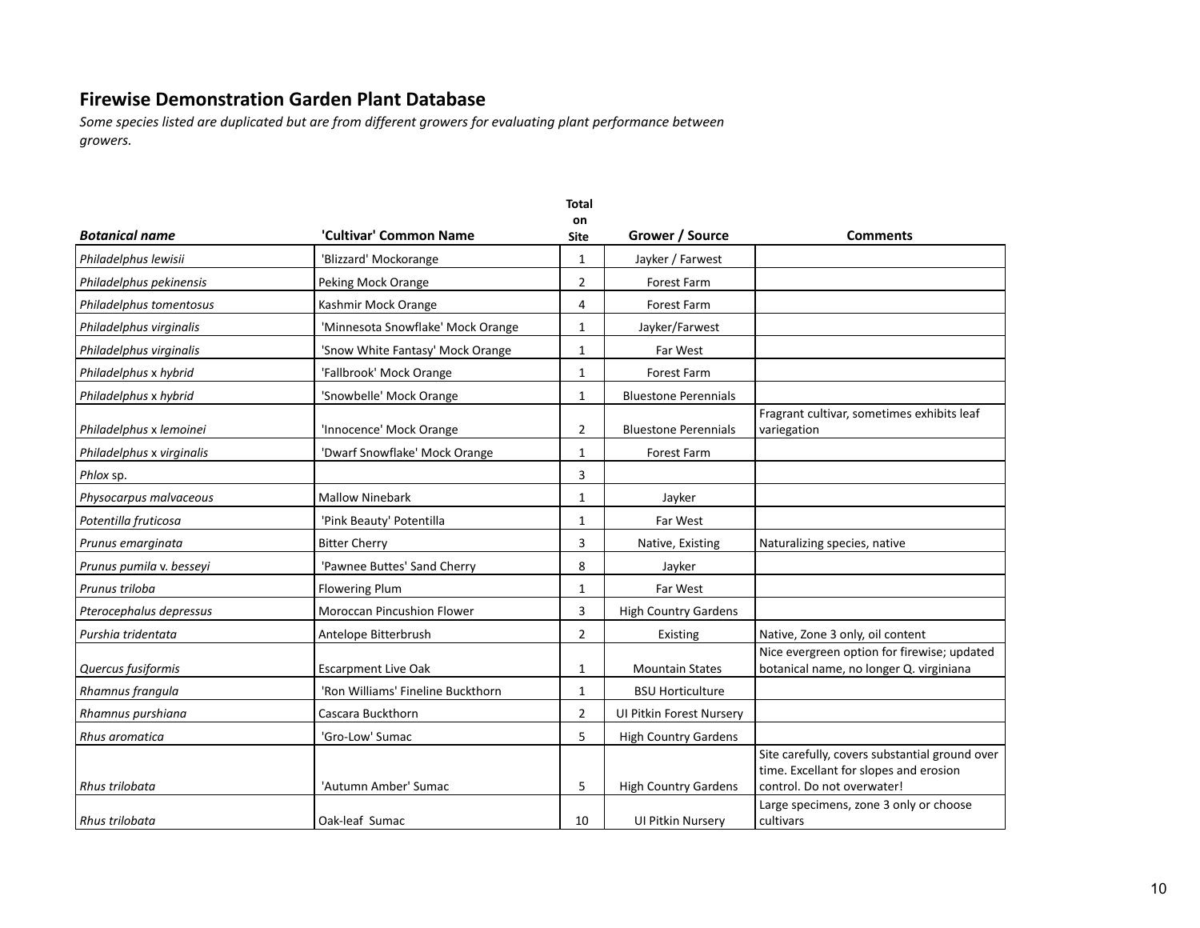|                           |                                   | <b>Total</b><br>on |                             |                                                                                                                        |
|---------------------------|-----------------------------------|--------------------|-----------------------------|------------------------------------------------------------------------------------------------------------------------|
| <b>Botanical name</b>     | 'Cultivar' Common Name            | <b>Site</b>        | Grower / Source             | Comments                                                                                                               |
| Philadelphus lewisii      | 'Blizzard' Mockorange             | $\mathbf{1}$       | Jayker / Farwest            |                                                                                                                        |
| Philadelphus pekinensis   | Peking Mock Orange                | $\overline{2}$     | <b>Forest Farm</b>          |                                                                                                                        |
| Philadelphus tomentosus   | Kashmir Mock Orange               | 4                  | Forest Farm                 |                                                                                                                        |
| Philadelphus virginalis   | 'Minnesota Snowflake' Mock Orange | $\mathbf{1}$       | Jayker/Farwest              |                                                                                                                        |
| Philadelphus virginalis   | 'Snow White Fantasy' Mock Orange  | $\mathbf{1}$       | Far West                    |                                                                                                                        |
| Philadelphus x hybrid     | 'Fallbrook' Mock Orange           | $\mathbf{1}$       | Forest Farm                 |                                                                                                                        |
| Philadelphus x hybrid     | 'Snowbelle' Mock Orange           | $\mathbf{1}$       | <b>Bluestone Perennials</b> |                                                                                                                        |
| Philadelphus x lemoinei   | 'Innocence' Mock Orange           | $\overline{2}$     | <b>Bluestone Perennials</b> | Fragrant cultivar, sometimes exhibits leaf<br>variegation                                                              |
| Philadelphus x virginalis | 'Dwarf Snowflake' Mock Orange     | $\mathbf{1}$       | Forest Farm                 |                                                                                                                        |
| Phlox sp.                 |                                   | 3                  |                             |                                                                                                                        |
| Physocarpus malvaceous    | <b>Mallow Ninebark</b>            | 1                  | Jayker                      |                                                                                                                        |
| Potentilla fruticosa      | 'Pink Beauty' Potentilla          | 1                  | Far West                    |                                                                                                                        |
| Prunus emarginata         | <b>Bitter Cherry</b>              | 3                  | Native, Existing            | Naturalizing species, native                                                                                           |
| Prunus pumila v. besseyi  | 'Pawnee Buttes' Sand Cherry       | 8                  | Jayker                      |                                                                                                                        |
| Prunus triloba            | <b>Flowering Plum</b>             | 1                  | Far West                    |                                                                                                                        |
| Pterocephalus depressus   | Moroccan Pincushion Flower        | 3                  | <b>High Country Gardens</b> |                                                                                                                        |
| Purshia tridentata        | Antelope Bitterbrush              | $\overline{2}$     | Existing                    | Native, Zone 3 only, oil content                                                                                       |
| Quercus fusiformis        | <b>Escarpment Live Oak</b>        | 1                  | <b>Mountain States</b>      | Nice evergreen option for firewise; updated<br>botanical name, no longer Q. virginiana                                 |
| Rhamnus frangula          | 'Ron Williams' Fineline Buckthorn | $\mathbf{1}$       | <b>BSU Horticulture</b>     |                                                                                                                        |
| Rhamnus purshiana         | Cascara Buckthorn                 | $\overline{2}$     | UI Pitkin Forest Nursery    |                                                                                                                        |
| Rhus aromatica            | 'Gro-Low' Sumac                   | 5                  | <b>High Country Gardens</b> |                                                                                                                        |
| <b>Rhus trilobata</b>     | 'Autumn Amber' Sumac              | 5                  | <b>High Country Gardens</b> | Site carefully, covers substantial ground over<br>time. Excellant for slopes and erosion<br>control. Do not overwater! |
| Rhus trilobata            | Oak-leaf Sumac                    | 10                 | <b>UI Pitkin Nursery</b>    | Large specimens, zone 3 only or choose<br>cultivars                                                                    |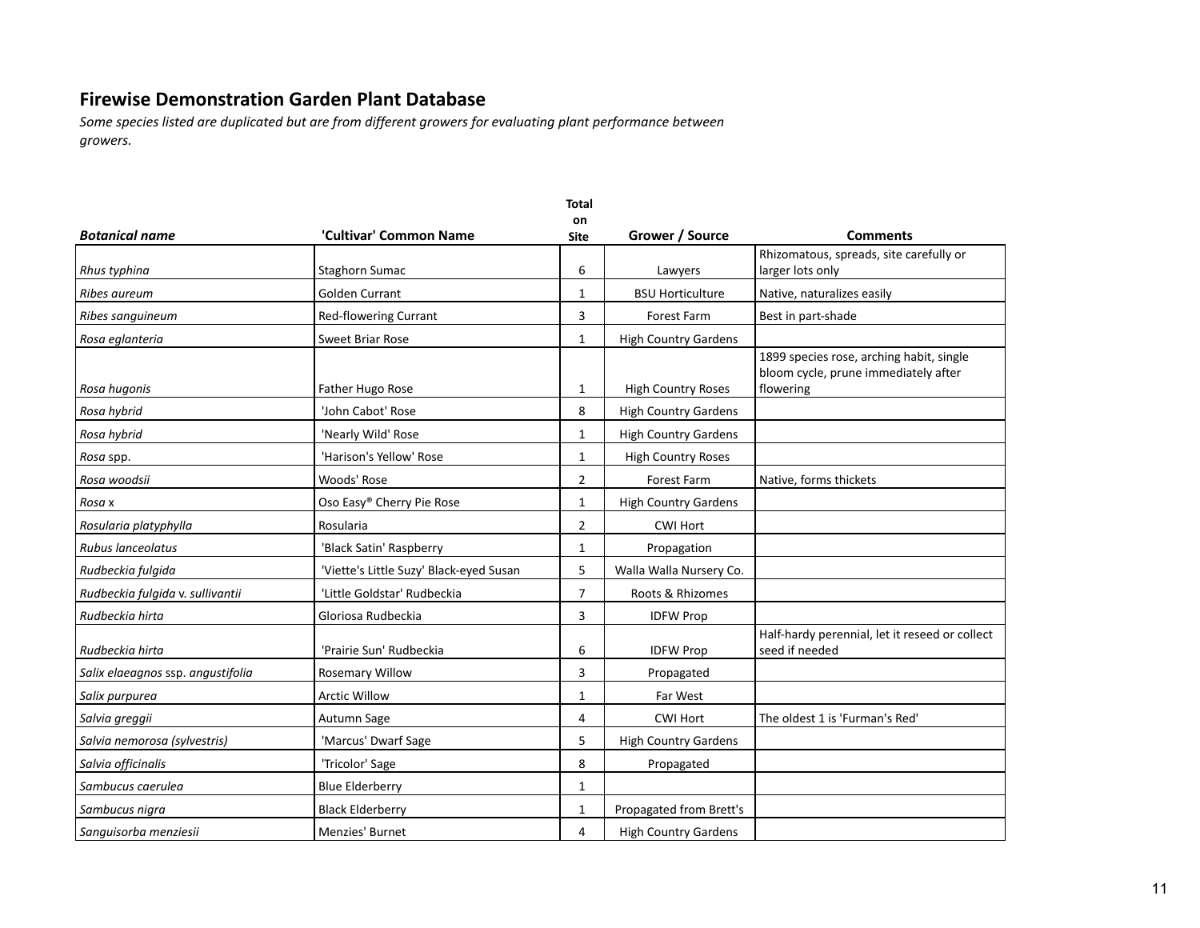|                                   |                                         | <b>Total</b>   |                             |                                                                                               |  |
|-----------------------------------|-----------------------------------------|----------------|-----------------------------|-----------------------------------------------------------------------------------------------|--|
| <b>Botanical name</b>             | 'Cultivar' Common Name                  | on<br>Site     | Grower / Source             | <b>Comments</b>                                                                               |  |
| Rhus typhina                      | Staghorn Sumac                          | 6              | Lawyers                     | Rhizomatous, spreads, site carefully or<br>larger lots only                                   |  |
| Ribes aureum                      | <b>Golden Currant</b>                   | $\mathbf{1}$   | <b>BSU Horticulture</b>     | Native, naturalizes easily                                                                    |  |
| Ribes sanguineum                  | Red-flowering Currant                   | 3              | <b>Forest Farm</b>          | Best in part-shade                                                                            |  |
| Rosa eglanteria                   | <b>Sweet Briar Rose</b>                 | 1              | <b>High Country Gardens</b> |                                                                                               |  |
| Rosa hugonis                      | Father Hugo Rose                        | 1              | <b>High Country Roses</b>   | 1899 species rose, arching habit, single<br>bloom cycle, prune immediately after<br>flowering |  |
| Rosa hybrid                       | 'John Cabot' Rose                       | 8              | <b>High Country Gardens</b> |                                                                                               |  |
| Rosa hybrid                       | 'Nearly Wild' Rose                      | 1              | <b>High Country Gardens</b> |                                                                                               |  |
| Rosa spp.                         | 'Harison's Yellow' Rose                 | 1              | <b>High Country Roses</b>   |                                                                                               |  |
| Rosa woodsii                      | Woods' Rose                             | 2              | <b>Forest Farm</b>          | Native, forms thickets                                                                        |  |
| Rosa x                            | Oso Easy® Cherry Pie Rose               | 1              | <b>High Country Gardens</b> |                                                                                               |  |
| Rosularia platyphylla             | Rosularia                               | 2              | <b>CWI Hort</b>             |                                                                                               |  |
| Rubus lanceolatus                 | 'Black Satin' Raspberry                 | $\mathbf{1}$   | Propagation                 |                                                                                               |  |
| Rudbeckia fulgida                 | 'Viette's Little Suzy' Black-eyed Susan | 5              | Walla Walla Nursery Co.     |                                                                                               |  |
| Rudbeckia fulgida v. sullivantii  | 'Little Goldstar' Rudbeckia             | $\overline{7}$ | Roots & Rhizomes            |                                                                                               |  |
| Rudbeckia hirta                   | Gloriosa Rudbeckia                      | 3              | <b>IDFW Prop</b>            |                                                                                               |  |
| Rudbeckia hirta                   | 'Prairie Sun' Rudbeckia                 | 6              | <b>IDFW Prop</b>            | Half-hardy perennial, let it reseed or collect<br>seed if needed                              |  |
| Salix elaeagnos ssp. angustifolia | <b>Rosemary Willow</b>                  | 3              | Propagated                  |                                                                                               |  |
| Salix purpurea                    | <b>Arctic Willow</b>                    | $\mathbf{1}$   | Far West                    |                                                                                               |  |
| Salvia greggii                    | Autumn Sage                             | 4              | <b>CWI Hort</b>             | The oldest 1 is 'Furman's Red'                                                                |  |
| Salvia nemorosa (sylvestris)      | 'Marcus' Dwarf Sage                     | 5              | <b>High Country Gardens</b> |                                                                                               |  |
| Salvia officinalis                | 'Tricolor' Sage                         | 8              | Propagated                  |                                                                                               |  |
| Sambucus caerulea                 | <b>Blue Elderberry</b>                  | 1              |                             |                                                                                               |  |
| Sambucus nigra                    | <b>Black Elderberry</b>                 | 1              | Propagated from Brett's     |                                                                                               |  |
| Sanguisorba menziesii             | <b>Menzies' Burnet</b>                  | 4              | <b>High Country Gardens</b> |                                                                                               |  |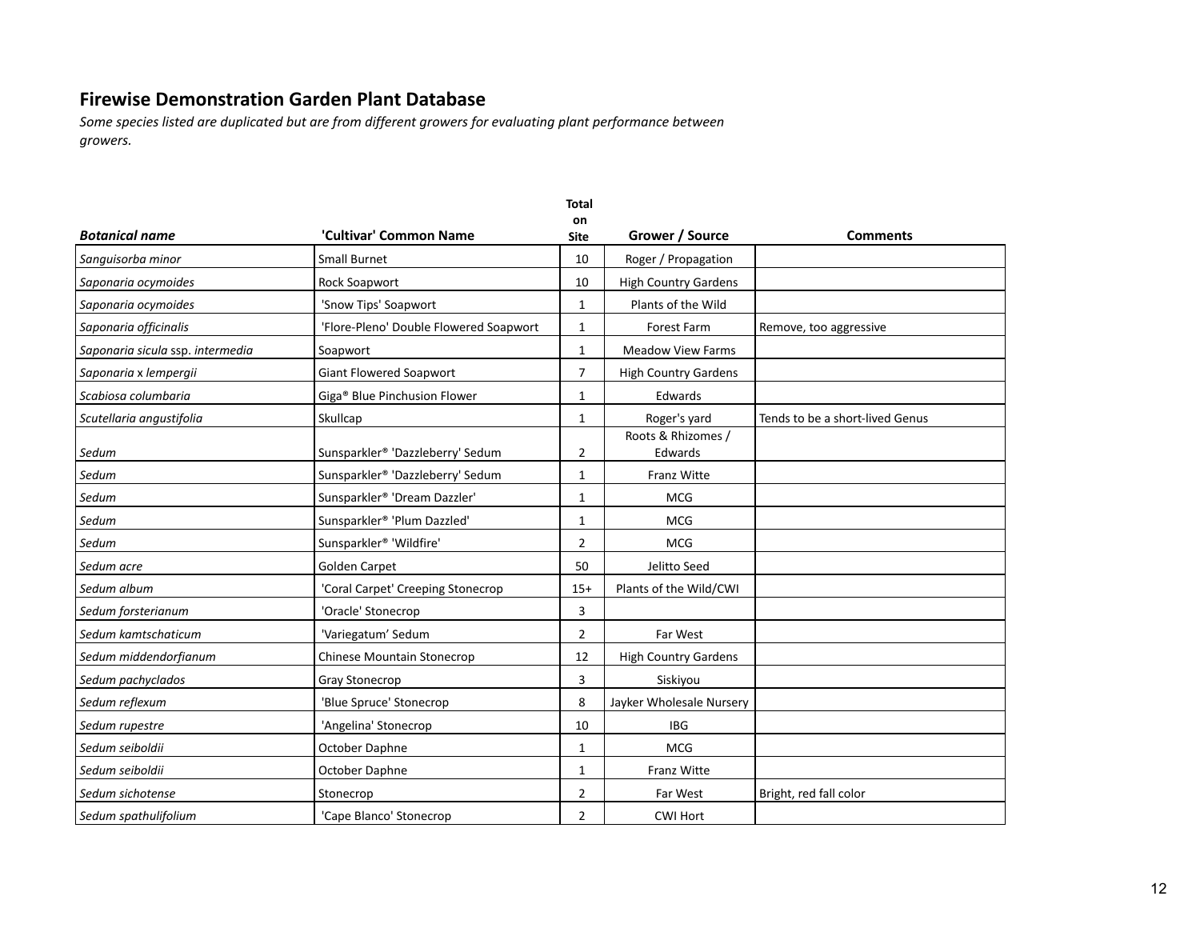|                                  |                                        | <b>Total</b>      |                               |                                 |
|----------------------------------|----------------------------------------|-------------------|-------------------------------|---------------------------------|
| <b>Botanical name</b>            | 'Cultivar' Common Name                 | on<br><b>Site</b> | Grower / Source               | <b>Comments</b>                 |
| Sanguisorba minor                | <b>Small Burnet</b>                    | 10                | Roger / Propagation           |                                 |
| Saponaria ocymoides              | Rock Soapwort                          | 10                | <b>High Country Gardens</b>   |                                 |
| Saponaria ocymoides              | 'Snow Tips' Soapwort                   | 1                 | Plants of the Wild            |                                 |
| Saponaria officinalis            | 'Flore-Pleno' Double Flowered Soapwort | 1                 | <b>Forest Farm</b>            | Remove, too aggressive          |
| Saponaria sicula ssp. intermedia | Soapwort                               | $\mathbf{1}$      | <b>Meadow View Farms</b>      |                                 |
| Saponaria x lempergii            | Giant Flowered Soapwort                | $\overline{7}$    | <b>High Country Gardens</b>   |                                 |
| Scabiosa columbaria              | Giga® Blue Pinchusion Flower           | $\mathbf{1}$      | Edwards                       |                                 |
| Scutellaria angustifolia         | Skullcap                               | $\mathbf{1}$      | Roger's yard                  | Tends to be a short-lived Genus |
| Sedum                            | Sunsparkler® 'Dazzleberry' Sedum       | $\overline{2}$    | Roots & Rhizomes /<br>Edwards |                                 |
| Sedum                            | Sunsparkler® 'Dazzleberry' Sedum       | $\mathbf{1}$      | <b>Franz Witte</b>            |                                 |
| Sedum                            | Sunsparkler® 'Dream Dazzler'           | $\mathbf{1}$      | <b>MCG</b>                    |                                 |
| Sedum                            | Sunsparkler® 'Plum Dazzled'            | $\mathbf{1}$      | <b>MCG</b>                    |                                 |
| Sedum                            | Sunsparkler <sup>®</sup> 'Wildfire'    | $\overline{2}$    | <b>MCG</b>                    |                                 |
| Sedum acre                       | <b>Golden Carpet</b>                   | 50                | Jelitto Seed                  |                                 |
| Sedum album                      | 'Coral Carpet' Creeping Stonecrop      | $15+$             | Plants of the Wild/CWI        |                                 |
| Sedum forsterianum               | 'Oracle' Stonecrop                     | 3                 |                               |                                 |
| Sedum kamtschaticum              | 'Variegatum' Sedum                     | $\overline{2}$    | Far West                      |                                 |
| Sedum middendorfianum            | <b>Chinese Mountain Stonecrop</b>      | 12                | <b>High Country Gardens</b>   |                                 |
| Sedum pachyclados                | Gray Stonecrop                         | 3                 | Siskiyou                      |                                 |
| Sedum reflexum                   | 'Blue Spruce' Stonecrop                | 8                 | Jayker Wholesale Nursery      |                                 |
| Sedum rupestre                   | 'Angelina' Stonecrop                   | 10                | <b>IBG</b>                    |                                 |
| Sedum seiboldii                  | October Daphne                         | 1                 | <b>MCG</b>                    |                                 |
| Sedum seiboldii                  | October Daphne                         | 1                 | <b>Franz Witte</b>            |                                 |
| Sedum sichotense                 | Stonecrop                              | 2                 | Far West                      | Bright, red fall color          |
| Sedum spathulifolium             | 'Cape Blanco' Stonecrop                | $\overline{2}$    | <b>CWI Hort</b>               |                                 |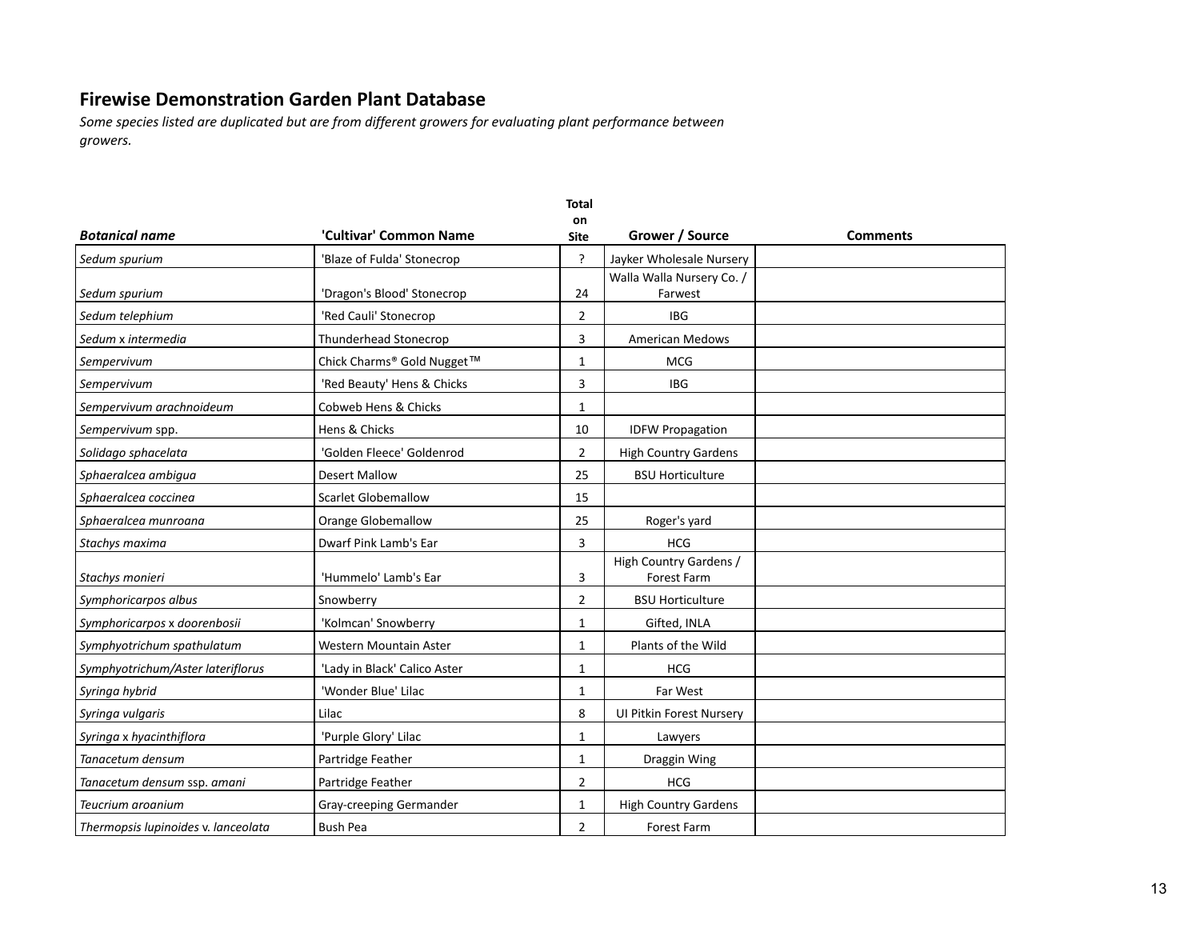|                                     |                              | <b>Total</b>      |                                       |                 |
|-------------------------------------|------------------------------|-------------------|---------------------------------------|-----------------|
| <b>Botanical name</b>               | 'Cultivar' Common Name       | on<br><b>Site</b> | Grower / Source                       | <b>Comments</b> |
| Sedum spurium                       | 'Blaze of Fulda' Stonecrop   | ?                 | Jayker Wholesale Nursery              |                 |
| Sedum spurium                       | 'Dragon's Blood' Stonecrop   | 24                | Walla Walla Nursery Co. /<br>Farwest  |                 |
| Sedum telephium                     | 'Red Cauli' Stonecrop        | $\overline{2}$    | <b>IBG</b>                            |                 |
| Sedum x intermedia                  | Thunderhead Stonecrop        | 3                 | <b>American Medows</b>                |                 |
| Sempervivum                         | Chick Charms® Gold Nugget™   | $\mathbf{1}$      | <b>MCG</b>                            |                 |
| Sempervivum                         | 'Red Beauty' Hens & Chicks   | 3                 | <b>IBG</b>                            |                 |
| Sempervivum arachnoideum            | Cobweb Hens & Chicks         | $\mathbf{1}$      |                                       |                 |
| Sempervivum spp.                    | Hens & Chicks                | 10                | <b>IDFW Propagation</b>               |                 |
| Solidago sphacelata                 | 'Golden Fleece' Goldenrod    | $\overline{2}$    | <b>High Country Gardens</b>           |                 |
| Sphaeralcea ambigua                 | <b>Desert Mallow</b>         | 25                | <b>BSU Horticulture</b>               |                 |
| Sphaeralcea coccinea                | <b>Scarlet Globemallow</b>   | 15                |                                       |                 |
| Sphaeralcea munroana                | Orange Globemallow           | 25                | Roger's yard                          |                 |
| Stachys maxima                      | Dwarf Pink Lamb's Ear        | 3                 | <b>HCG</b>                            |                 |
| Stachys monieri                     | 'Hummelo' Lamb's Ear         | 3                 | High Country Gardens /<br>Forest Farm |                 |
| Symphoricarpos albus                | Snowberry                    | $\overline{2}$    | <b>BSU Horticulture</b>               |                 |
| Symphoricarpos x doorenbosii        | 'Kolmcan' Snowberry          | $\mathbf{1}$      | Gifted, INLA                          |                 |
| Symphyotrichum spathulatum          | Western Mountain Aster       | $\mathbf{1}$      | Plants of the Wild                    |                 |
| Symphyotrichum/Aster lateriflorus   | 'Lady in Black' Calico Aster | $\mathbf{1}$      | <b>HCG</b>                            |                 |
| Syringa hybrid                      | 'Wonder Blue' Lilac          | $\mathbf{1}$      | Far West                              |                 |
| Syringa vulgaris                    | Lilac                        | 8                 | <b>UI Pitkin Forest Nurserv</b>       |                 |
| Syringa x hyacinthiflora            | 'Purple Glory' Lilac         | $\mathbf{1}$      | Lawyers                               |                 |
| Tanacetum densum                    | Partridge Feather            | $\mathbf{1}$      | Draggin Wing                          |                 |
| Tanacetum densum ssp. amani         | Partridge Feather            | $\overline{2}$    | <b>HCG</b>                            |                 |
| Teucrium aroanium                   | Gray-creeping Germander      | $\mathbf{1}$      | <b>High Country Gardens</b>           |                 |
| Thermopsis lupinoides v. lanceolata | <b>Bush Pea</b>              | $\overline{2}$    | Forest Farm                           |                 |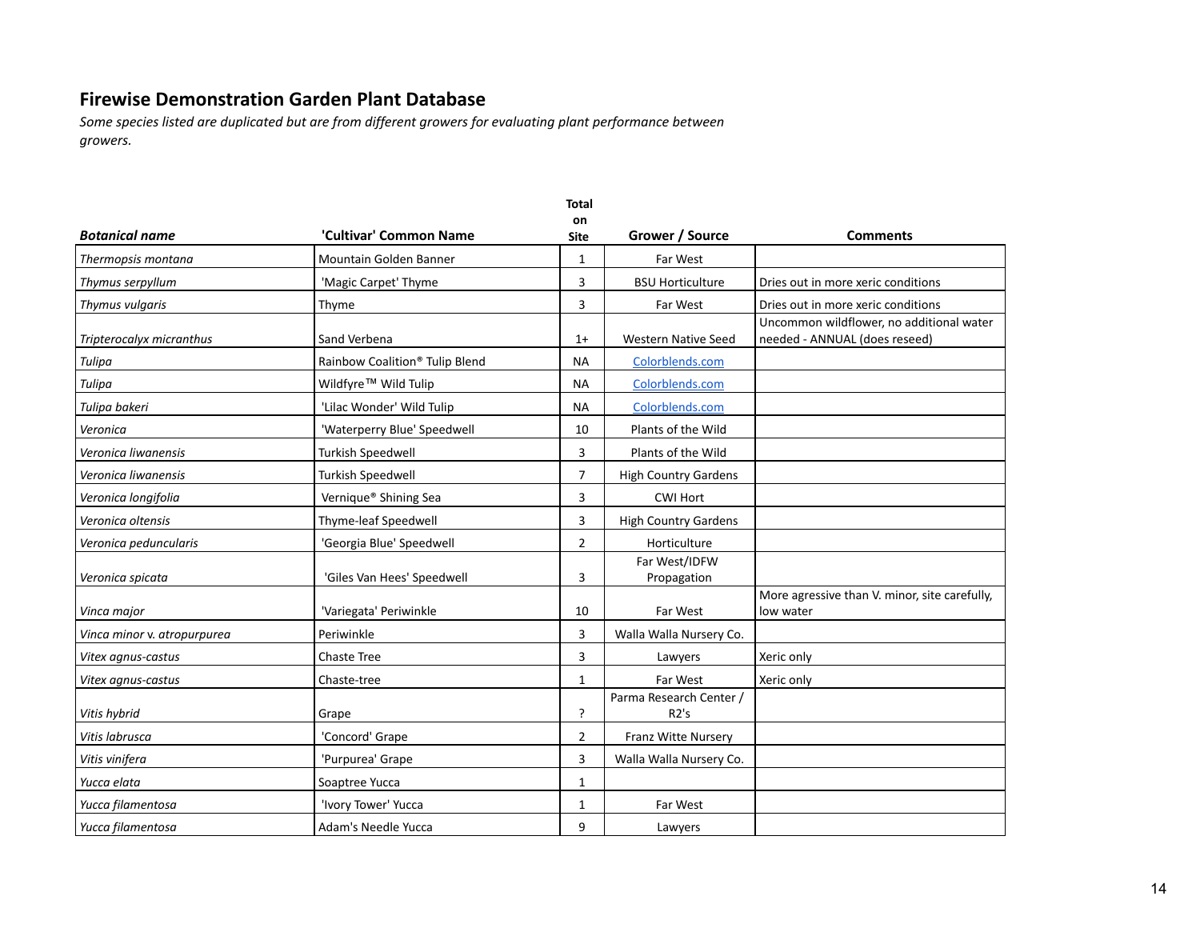|                             |                                            | <b>Total</b>      |                                 |                                                                           |
|-----------------------------|--------------------------------------------|-------------------|---------------------------------|---------------------------------------------------------------------------|
| <b>Botanical name</b>       | 'Cultivar' Common Name                     | on<br><b>Site</b> | Grower / Source                 | <b>Comments</b>                                                           |
| Thermopsis montana          | Mountain Golden Banner                     | 1                 | Far West                        |                                                                           |
| Thymus serpyllum            | 'Magic Carpet' Thyme                       | 3                 | <b>BSU Horticulture</b>         | Dries out in more xeric conditions                                        |
| Thymus vulgaris             | Thyme                                      | 3                 | Far West                        | Dries out in more xeric conditions                                        |
| Tripterocalyx micranthus    | Sand Verbena                               | $1+$              | <b>Western Native Seed</b>      | Uncommon wildflower, no additional water<br>needed - ANNUAL (does reseed) |
| Tulipa                      | Rainbow Coalition <sup>®</sup> Tulip Blend | <b>NA</b>         | Colorblends.com                 |                                                                           |
| Tulipa                      | Wildfyre <sup>™</sup> Wild Tulip           | <b>NA</b>         | Colorblends.com                 |                                                                           |
| Tulipa bakeri               | 'Lilac Wonder' Wild Tulip                  | <b>NA</b>         | Colorblends.com                 |                                                                           |
| Veronica                    | 'Waterperry Blue' Speedwell                | 10                | Plants of the Wild              |                                                                           |
| Veronica liwanensis         | <b>Turkish Speedwell</b>                   | 3                 | Plants of the Wild              |                                                                           |
| Veronica liwanensis         | Turkish Speedwell                          | $\overline{7}$    | <b>High Country Gardens</b>     |                                                                           |
| Veronica longifolia         | Vernique® Shining Sea                      | 3                 | <b>CWI Hort</b>                 |                                                                           |
| Veronica oltensis           | Thyme-leaf Speedwell                       | 3                 | <b>High Country Gardens</b>     |                                                                           |
| Veronica peduncularis       | 'Georgia Blue' Speedwell                   | $\overline{2}$    | Horticulture                    |                                                                           |
| Veronica spicata            | 'Giles Van Hees' Speedwell                 | 3                 | Far West/IDFW<br>Propagation    |                                                                           |
| Vinca major                 | 'Variegata' Periwinkle                     | 10                | Far West                        | More agressive than V. minor, site carefully,<br>low water                |
| Vinca minor v. atropurpurea | Periwinkle                                 | 3                 | Walla Walla Nursery Co.         |                                                                           |
| Vitex agnus-castus          | <b>Chaste Tree</b>                         | 3                 | Lawyers                         | Xeric only                                                                |
| Vitex agnus-castus          | Chaste-tree                                | $\mathbf{1}$      | Far West                        | Xeric only                                                                |
| Vitis hybrid                | Grape                                      | <sup>2</sup>      | Parma Research Center /<br>R2's |                                                                           |
| Vitis labrusca              | 'Concord' Grape                            | $\overline{2}$    | Franz Witte Nursery             |                                                                           |
| Vitis vinifera              | 'Purpurea' Grape                           | 3                 | Walla Walla Nursery Co.         |                                                                           |
| Yucca elata                 | Soaptree Yucca                             | 1                 |                                 |                                                                           |
| Yucca filamentosa           | 'Ivory Tower' Yucca                        | $\mathbf{1}$      | Far West                        |                                                                           |
| Yucca filamentosa           | Adam's Needle Yucca                        | 9                 | Lawyers                         |                                                                           |